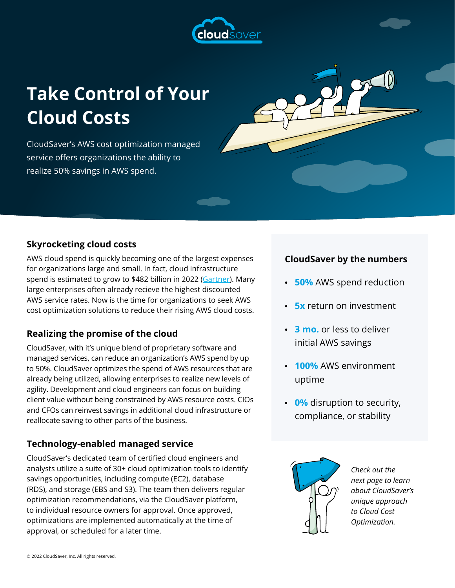

# **Take Control of Your Cloud Costs**

CloudSaver's AWS cost optimization managed service offers organizations the ability to realize 50% savings in AWS spend.

# **Skyrocketing cloud costs**

AWS cloud spend is quickly becoming one of the largest expenses for organizations large and small. In fact, cloud infrastructure spend is estimated to grow to \$482 billion in 2022 ([Gartner](https://www.gartner.com/en/newsroom/press-releases/2021-08-02-gartner-says-four-trends-are-shaping-the-future-of-public-cloud)). Many large enterprises often already recieve the highest discounted AWS service rates. Now is the time for organizations to seek AWS cost optimization solutions to reduce their rising AWS cloud costs.

## **Realizing the promise of the cloud**

CloudSaver, with it's unique blend of proprietary software and managed services, can reduce an organization's AWS spend by up to 50%. CloudSaver optimizes the spend of AWS resources that are already being utilized, allowing enterprises to realize new levels of agility. Development and cloud engineers can focus on building client value without being constrained by AWS resource costs. CIOs and CFOs can reinvest savings in additional cloud infrastructure or reallocate saving to other parts of the business.

## **Technology-enabled managed service**

CloudSaver's dedicated team of certified cloud engineers and analysts utilize a suite of 30+ cloud optimization tools to identify savings opportunities, including compute (EC2), database (RDS), and storage (EBS and S3). The team then delivers regular optimization recommendations, via the CloudSaver platform, to individual resource owners for approval. Once approved, optimizations are implemented automatically at the time of approval, or scheduled for a later time.

### **CloudSaver by the numbers**

- **• 50%** AWS spend reduction
- **5x** return on investment
- **• 3 mo.** or less to deliver initial AWS savings
- **• 100%** AWS environment uptime
- **• 0%** disruption to security, compliance, or stability



*Check out the next page to learn about CloudSaver's unique approach to Cloud Cost Optimization.*